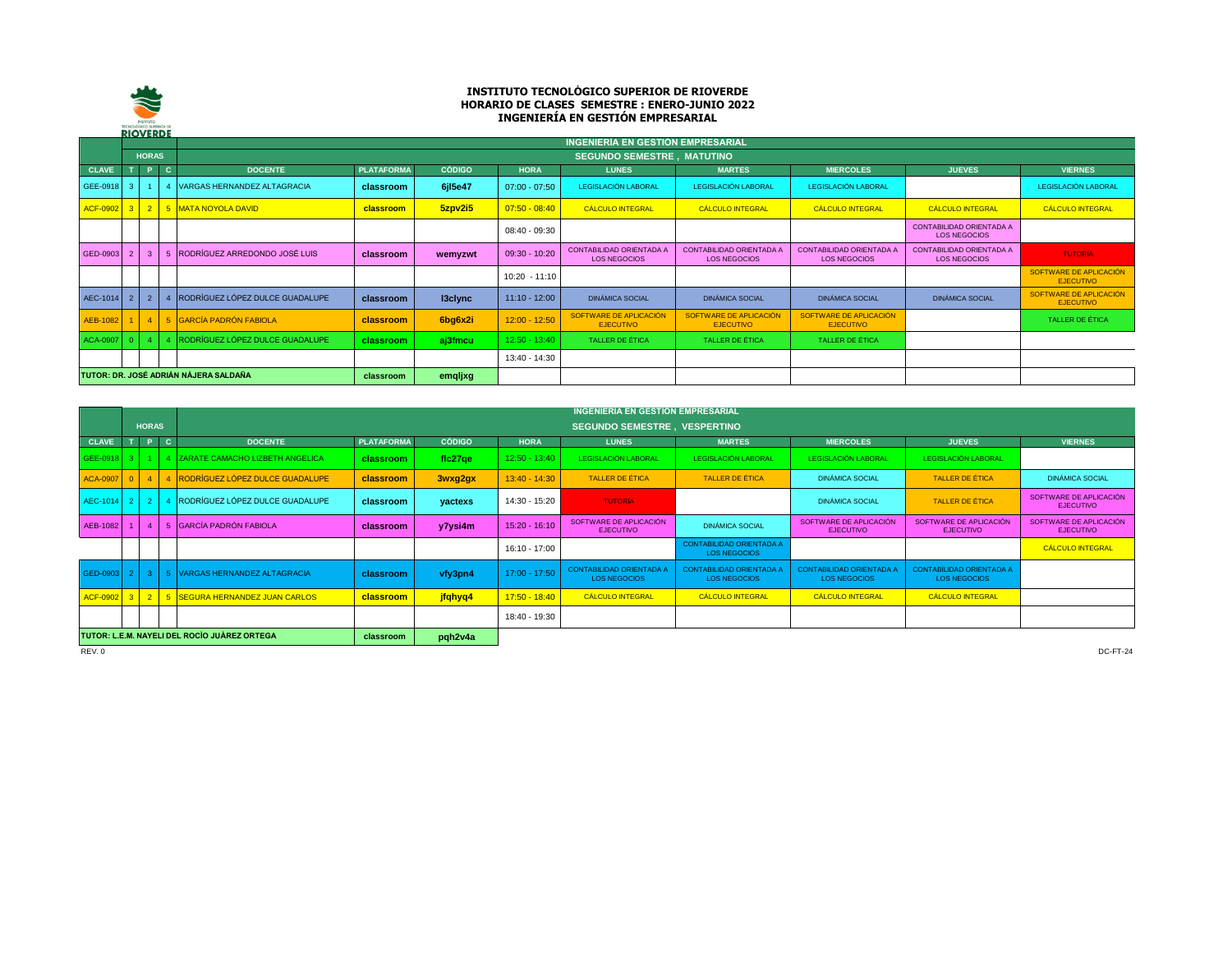

## **INSTITUTO TECNOLÓGICO SUPERIOR DE RIOVERDE HORARIO DE CLASES SEMESTRE : ENERO-JUNIO 2022 INGENIERÍA EN GESTIÓN EMPRESARIAL**

|                 | <b>KIUVERDE</b>                       |                |      |                                    |                   |               |                 | INGENIERÍA EN GESTIÓN EMPRESARIAL                      |                                                        |                                                        |                                                        |                                            |
|-----------------|---------------------------------------|----------------|------|------------------------------------|-------------------|---------------|-----------------|--------------------------------------------------------|--------------------------------------------------------|--------------------------------------------------------|--------------------------------------------------------|--------------------------------------------|
|                 |                                       | <b>HORAS</b>   |      |                                    |                   |               |                 | <b>SEGUNDO SEMESTRE. MATUTINO</b>                      |                                                        |                                                        |                                                        |                                            |
| <b>CLAVE</b>    |                                       |                | r c' | <b>DOCENTE</b>                     | <b>PLATAFORMA</b> | <b>CÓDIGO</b> | <b>HORA</b>     | <b>LUNES</b>                                           | <b>MARTES</b>                                          | <b>MIERCOLES</b>                                       | <b>JUEVES</b>                                          | <b>VIERNES</b>                             |
| GEE-0918        |                                       |                |      | <b>VARGAS HERNANDEZ ALTAGRACIA</b> | classroom         | 6jl5e47       | $07:00 - 07:50$ | LEGISLACIÓN LABORAL                                    | LEGISLACIÓN LABORAL                                    | LEGISLACIÓN LABORAL                                    |                                                        | <b>LEGISLACIÓN LABORAL</b>                 |
| <b>ACF-0902</b> | 3 <sup>1</sup>                        |                |      | 2 5 MATA NOYOLA DAVID              | classroom         | 5zpv2i5       | $07:50 - 08:40$ | <b>CÁLCULO INTEGRAL</b>                                | <b>CÁLCULO INTEGRAL</b>                                | <b>CÁLCULO INTEGRAL</b>                                | <b>CÁLCULO INTEGRAL</b>                                | <b>CÁLCULO INTEGRAL</b>                    |
|                 |                                       |                |      |                                    |                   |               | $08:40 - 09:30$ |                                                        |                                                        |                                                        | <b>CONTABILIDAD ORIENTADA A</b><br><b>LOS NEGOCIOS</b> |                                            |
| GED-0903        |                                       |                |      | RODRÍGUEZ ARREDONDO JOSÉ LUIS      | classroom         | wemyzwt       | $09:30 - 10:20$ | <b>CONTABILIDAD ORIENTADA A</b><br><b>LOS NEGOCIOS</b> | <b>CONTABILIDAD ORIENTADA A</b><br><b>LOS NEGOCIOS</b> | <b>CONTABILIDAD ORIENTADA A</b><br><b>LOS NEGOCIOS</b> | <b>CONTABILIDAD ORIENTADA A</b><br><b>LOS NEGOCIOS</b> | <b>TUTORÍA</b>                             |
|                 |                                       |                |      |                                    |                   |               | $10:20 - 11:10$ |                                                        |                                                        |                                                        |                                                        | SOFTWARE DE APLICACIÓN<br><b>EJECUTIVO</b> |
| AEC-1014        |                                       | $\overline{2}$ |      | RODRÍGUEZ LÓPEZ DULCE GUADALUPE    | classroom         | 13clync       | $11:10 - 12:00$ | <b>DINÁMICA SOCIAL</b>                                 | <b>DINÁMICA SOCIAL</b>                                 | <b>DINÁMICA SOCIAL</b>                                 | <b>DINÁMICA SOCIAL</b>                                 | SOFTWARE DE APLICACIÓN<br><b>EJECUTIVO</b> |
| <b>AEB-1082</b> |                                       | $\overline{4}$ |      | 5 GARCÍA PADRÓN FABIOLA            | classroom         | 6bg6x2i       | $12:00 - 12:50$ | SOFTWARE DE APLICACIÓN<br><b>EJECUTIVO</b>             | SOFTWARE DE APLICACIÓN<br><b>EJECUTIVO</b>             | SOFTWARE DE APLICACIÓN<br><b>EJECUTIVO</b>             |                                                        | TALLER DE ÉTICA                            |
| <b>ACA-0907</b> |                                       |                |      | RODRÍGUEZ LÓPEZ DULCE GUADALUPE    | classroom         | aj3fmcu       | $12:50 - 13:40$ | <b>TALLER DE ÉTICA</b>                                 | TALLER DE ÉTICA                                        | TALLER DE ÉTICA                                        |                                                        |                                            |
|                 |                                       |                |      |                                    |                   |               | 13:40 - 14:30   |                                                        |                                                        |                                                        |                                                        |                                            |
|                 | TUTOR: DR. JOSÉ ADRIÁN NÁJERA SALDAÑA |                |      |                                    | classroom         | emqljxg       |                 |                                                        |                                                        |                                                        |                                                        |                                            |

|                 |                                                                      |              |        |                                         |                   |               |                 | INGENIERÍA EN GESTIÓN EMPRESARIAL                      |                                                        |                                                      |                                                        |                                            |
|-----------------|----------------------------------------------------------------------|--------------|--------|-----------------------------------------|-------------------|---------------|-----------------|--------------------------------------------------------|--------------------------------------------------------|------------------------------------------------------|--------------------------------------------------------|--------------------------------------------|
|                 |                                                                      | <b>HORAS</b> |        |                                         |                   |               |                 | <b>SEGUNDO SEMESTRE, VESPERTINO</b>                    |                                                        |                                                      |                                                        |                                            |
| <b>CLAVE</b>    | 7 T                                                                  | $\mathbf{P}$ | $\ $ c | <b>DOCENTE</b>                          | <b>PLATAFORMA</b> | <b>CÓDIGO</b> | <b>HORA</b>     | <b>LUNES</b>                                           | <b>MARTES</b>                                          | <b>MIERCOLES</b>                                     | <b>JUEVES</b>                                          | <b>VIERNES</b>                             |
| GEE-0918 3      |                                                                      |              |        | 4 ZARATE CAMACHO LIZBETH ANGELICA       | classroom         | fic27ge       | $12:50 - 13:40$ | LEGISLACIÓN LABORAL                                    | LEGISLACIÓN LABORAL                                    | LEGISLACIÓN LABORAL                                  | LEGISLACIÓN LABORAL                                    |                                            |
| <b>ACA-0907</b> | $\circ$ 1                                                            |              |        | 4   4   RODRÍGUEZ LÓPEZ DULCE GUADALUPE | classroom         | 3wxg2gx       | $13:40 - 14:30$ | <b>TALLER DE ÉTICA</b>                                 | <b>TALLER DE ÉTICA</b>                                 | <b>DINÁMICA SOCIAL</b>                               | TALLER DE ÉTICA                                        | <b>DINÁMICA SOCIAL</b>                     |
| AEC-1014 2      |                                                                      |              |        | RODRÍGUEZ LÓPEZ DULCE GUADALUPE         | classroom         | yactexs       | 14:30 - 15:20   | <b>TUTORÍA</b>                                         |                                                        | <b>DINÁMICA SOCIAL</b>                               | <b>TALLER DE ÉTICA</b>                                 | SOFTWARE DE APLICACIÓN<br><b>EJECUTIVO</b> |
| AEB-1082        |                                                                      |              |        | <b>GARCÍA PADRÓN FABIOLA</b>            | classroom         | y7ysi4m       | $15:20 - 16:10$ | SOFTWARE DE APLICACIÓN<br><b>EJECUTIVO</b>             | <b>DINÁMICA SOCIAL</b>                                 | SOFTWARE DE APLICACIÓN<br><b>EJECUTIVO</b>           | SOFTWARE DE APLICACIÓN<br><b>EJECUTIVO</b>             | SOFTWARE DE APLICACIÓN<br><b>EJECUTIVO</b> |
|                 |                                                                      |              |        |                                         |                   |               | $16:10 - 17:00$ |                                                        | <b>CONTABILIDAD ORIENTADA A</b><br>LOS NEGOCIOS        |                                                      |                                                        | <b>CÁLCULO INTEGRAL</b>                    |
| GED-0903 2      |                                                                      | - 3-I        |        | 5 VARGAS HERNANDEZ ALTAGRACIA           | classroom         | vfy3pn4       | $17:00 - 17:50$ | <b>CONTABILIDAD ORIENTADA A</b><br><b>LOS NEGOCIOS</b> | <b>CONTABILIDAD ORIENTADA A</b><br><b>LOS NEGOCIOS</b> | <b>CONTABILIDAD ORIENTADA</b><br><b>LOS NEGOCIOS</b> | <b>CONTABILIDAD ORIENTADA A</b><br><b>LOS NEGOCIOS</b> |                                            |
| <b>ACF-0902</b> |                                                                      |              |        | 3 2 5 SEGURA HERNANDEZ JUAN CARLOS      | <b>classroom</b>  | jfqhyq4       | $17:50 - 18:40$ | <b>CÁLCULO INTEGRAL</b>                                | <b>CÁLCULO INTEGRAL</b>                                | <b>CÁLCULO INTEGRAL</b>                              | <b>CÁLCULO INTEGRAL</b>                                |                                            |
|                 |                                                                      |              |        |                                         |                   |               | 18:40 - 19:30   |                                                        |                                                        |                                                      |                                                        |                                            |
|                 | TUTOR: L.E.M. NAYELI DEL ROCIO JUÀREZ ORTEGA<br>pqh2v4a<br>classroom |              |        |                                         |                   |               |                 |                                                        |                                                        |                                                      |                                                        |                                            |
| REV.0           |                                                                      |              |        |                                         |                   |               |                 |                                                        |                                                        |                                                      |                                                        | DC-FT-24                                   |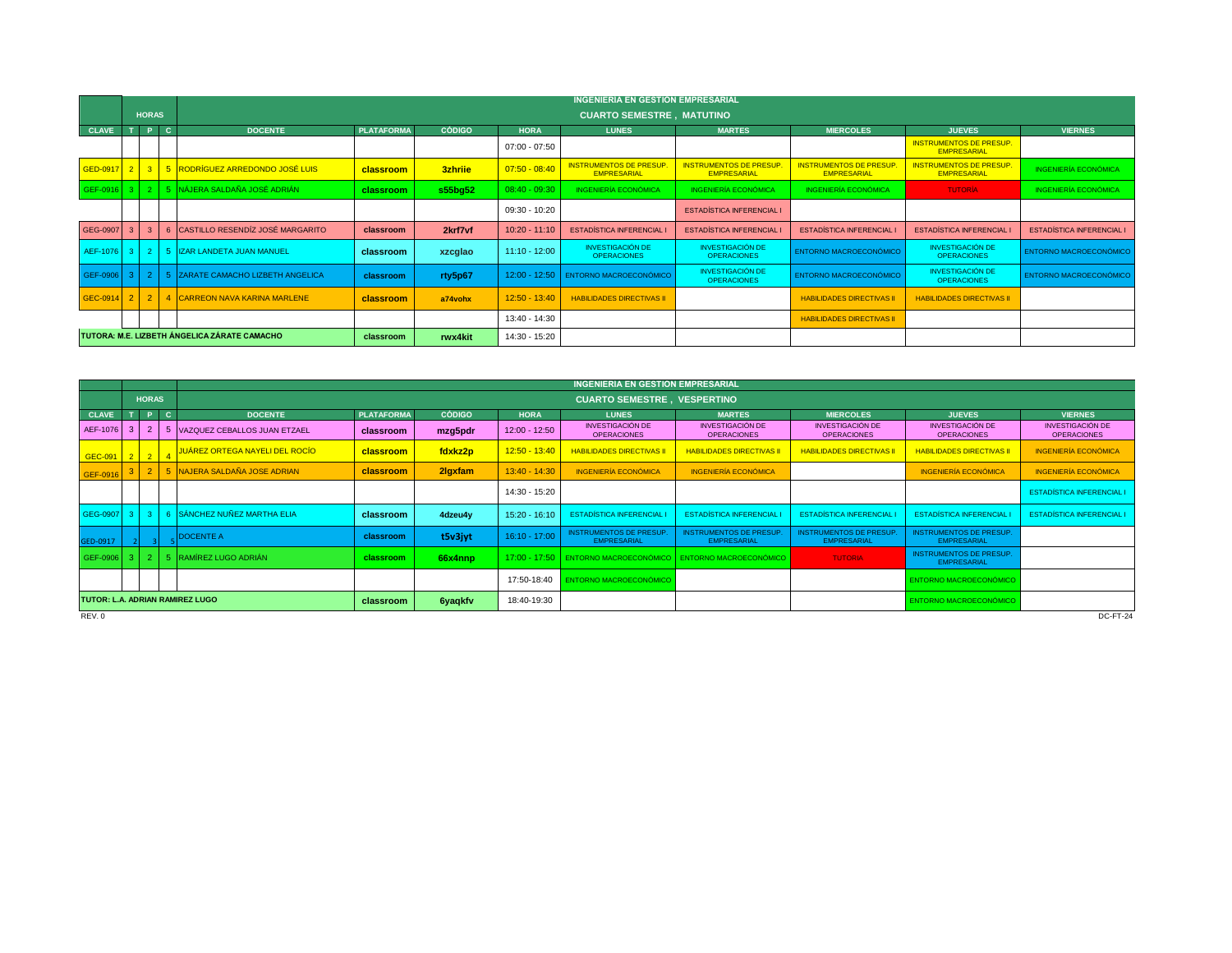|                                              |       |                |    |                                               | INGENIERÍA EN GESTIÓN EMPRESARIAL |               |                 |                                                      |                                                      |                                                      |                                                      |                                  |  |  |  |
|----------------------------------------------|-------|----------------|----|-----------------------------------------------|-----------------------------------|---------------|-----------------|------------------------------------------------------|------------------------------------------------------|------------------------------------------------------|------------------------------------------------------|----------------------------------|--|--|--|
|                                              |       | <b>HORAS</b>   |    |                                               |                                   |               |                 | <b>CUARTO SEMESTRE, MATUTINO</b>                     |                                                      |                                                      |                                                      |                                  |  |  |  |
| <b>CLAVE</b>                                 |       | P              | C. | <b>DOCENTE</b>                                | <b>PLATAFORMA</b>                 | <b>CÓDIGO</b> | <b>HORA</b>     | <b>LUNES</b>                                         | <b>MARTES</b>                                        | <b>MIERCOLES</b>                                     | <b>JUEVES</b>                                        | <b>VIERNES</b>                   |  |  |  |
|                                              |       |                |    |                                               |                                   |               | $07:00 - 07:50$ |                                                      |                                                      |                                                      | <b>INSTRUMENTOS DE PRESUP.</b><br><b>EMPRESARIAL</b> |                                  |  |  |  |
| GED-0917 2                                   |       |                |    | 3 5 RODRÍGUEZ ARREDONDO JOSÉ LUIS             | classroom                         | 3zhrije       | $07:50 - 08:40$ | <b>INSTRUMENTOS DE PRESUP.</b><br><b>EMPRESARIAL</b> | <b>INSTRUMENTOS DE PRESUP.</b><br><b>EMPRESARIAL</b> | <b>INSTRUMENTOS DE PRESUP.</b><br><b>EMPRESARIAL</b> | <b>INSTRUMENTOS DE PRESUP.</b><br><b>EMPRESARIAL</b> | <b>INGENIERÍA ECONÓMICA</b>      |  |  |  |
|                                              |       |                |    | GEF-0916 3   2   5 NÁJERA SALDAÑA JOSÉ ADRIÁN | classroom                         | s55bg52       | $08:40 - 09:30$ | INGENIERÍA ECONÓMICA                                 | <b>INGENIERÍA ECONÓMICA</b>                          | <b>INGENIERÍA ECONÓMICA</b>                          | <b>TUTORÍA</b>                                       | <b>INGENIERÍA ECONÓMICA</b>      |  |  |  |
|                                              |       |                |    |                                               |                                   |               | 09:30 - 10:20   |                                                      | <b>ESTADÍSTICA INFERENCIAL I</b>                     |                                                      |                                                      |                                  |  |  |  |
| GEG-0907                                     |       | $\mathbf{3}$   |    | CASTILLO RESENDÍZ JOSÉ MARGARITO              | classroom                         | 2krf7vf       | $10:20 - 11:10$ | <b>ESTADÍSTICA INFERENCIAL I</b>                     | <b>ESTADÍSTICA INFERENCIAL I</b>                     | <b>ESTADÍSTICA INFERENCIAL I</b>                     | <b>ESTADÍSTICA INFERENCIAL</b>                       | <b>ESTADÍSTICA INFERENCIAL I</b> |  |  |  |
| AEF-1076                                     | $3-1$ |                |    | 5 IZAR LANDETA JUAN MANUEL                    | classroom                         | xzcglao       | $11:10 - 12:00$ | <b>INVESTIGACIÓN DE</b><br><b>OPERACIONES</b>        | <b>INVESTIGACIÓN DE</b><br><b>OPERACIONES</b>        | <b>ENTORNO MACROECONÓMICO</b>                        | <b>INVESTIGACIÓN DE</b><br><b>OPERACIONES</b>        | ENTORNO MACROECONÓMICO           |  |  |  |
| GEF-0906                                     | -3 L  | -21            |    | 5 ZARATE CAMACHO LIZBETH ANGELICA             | classroom                         | rty5p67       |                 | 12:00 - 12:50 ENTORNO MACROECONÓMICO                 | <b>INVESTIGACIÓN DE</b><br><b>OPERACIONES</b>        | <b>ENTORNO MACROECONÓMICO</b>                        | <b>INVESTIGACIÓN DE</b><br><b>OPERACIONES</b>        | ENTORNO MACROECONÓMICO           |  |  |  |
| GEC-0914 2                                   |       | 2 <sup>2</sup> |    | 4 CARREON NAVA KARINA MARLENE                 | classroom                         | a74vohx       | $12:50 - 13:40$ | <b>HABILIDADES DIRECTIVAS II</b>                     |                                                      | <b>HABILIDADES DIRECTIVAS II</b>                     | <b>HABILIDADES DIRECTIVAS II</b>                     |                                  |  |  |  |
|                                              |       |                |    |                                               |                                   |               | 13:40 - 14:30   |                                                      |                                                      | <b>HABILIDADES DIRECTIVAS II</b>                     |                                                      |                                  |  |  |  |
| TUTORA: M.E. LIZBETH ÁNGELICA ZÁRATE CAMACHO |       |                |    |                                               | classroom                         | rwx4kit       | 14:30 - 15:20   |                                                      |                                                      |                                                      |                                                      |                                  |  |  |  |

|                                 |            | <b>HORAS</b>   |    |                                |            |                |                 | <b>CUARTO SEMESTRE. VESPERTINO</b>                   |                                                      |                                                      |                                                      |                                               |
|---------------------------------|------------|----------------|----|--------------------------------|------------|----------------|-----------------|------------------------------------------------------|------------------------------------------------------|------------------------------------------------------|------------------------------------------------------|-----------------------------------------------|
| <b>CLAVE</b>                    |            | P.             | C. | <b>DOCENTE</b>                 | PLATAFORMA | <b>CÓDIGO</b>  | <b>HORA</b>     | <b>LUNES</b>                                         | <b>MARTES</b>                                        | <b>MIERCOLES</b>                                     | <b>JUEVES</b>                                        | <b>VIERNES</b>                                |
| AEF-1076                        |            | $\overline{2}$ |    | 5 VAZQUEZ CEBALLOS JUAN ETZAEL | classroom  | mzg5pdr        | $12:00 - 12:50$ | <b>INVESTIGACIÓN DE</b><br><b>OPERACIONES</b>        | <b>INVESTIGACIÓN DE</b><br><b>OPERACIONES</b>        | <b>INVESTIGACIÓN DE</b><br><b>OPERACIONES</b>        | <b>INVESTIGACIÓN DE</b><br><b>OPERACIONES</b>        | <b>INVESTIGACIÓN DE</b><br><b>OPERACIONES</b> |
| GEC-091 2 2 4                   |            |                |    | JUÁREZ ORTEGA NAYELI DEL ROCÍO | classroom  | fdxkz2p        | $12:50 - 13:40$ | <b>HABILIDADES DIRECTIVAS II</b>                     | <b>HABILIDADES DIRECTIVAS II</b>                     | <b>HABILIDADES DIRECTIVAS II</b>                     | <b>HABILIDADES DIRECTIVAS II</b>                     | <b>INGENIERÍA ECONÓMICA</b>                   |
| GEF-0916                        |            |                |    | 2 5 NAJERA SALDAÑA JOSE ADRIAN | classroom  | 2lgxfam        | $13:40 - 14:30$ | <b>INGENIERÍA ECONÓMICA</b>                          | <b>INGENIERÍA ECONÓMICA</b>                          |                                                      | <b>INGENIERÍA ECONÓMICA</b>                          | <b>INGENIERÍA ECONÓMICA</b>                   |
|                                 |            |                |    |                                |            |                | 14:30 - 15:20   |                                                      |                                                      |                                                      |                                                      | <b>ESTADÍSTICA INFERENCIAL I</b>              |
| GEG-0907                        |            |                |    | 6 SÁNCHEZ NUÑEZ MARTHA ELIA    | classroom  | 4dzeu4y        | 15:20 - 16:10   | <b>ESTADÍSTICA INFERENCIAL I</b>                     | <b>ESTADÍSTICA INFERENCIAL</b>                       | <b>ESTADÍSTICA INFERENCIAL</b>                       | <b>ESTADÍSTICA INFERENCIAL</b>                       | <b>ESTADÍSTICA INFERENCIAL I</b>              |
| GED-0917                        |            |                |    | <b>DOCENTE A</b>               | classroom  | t5v3jyt        | $16:10 - 17:00$ | <b>INSTRUMENTOS DE PRESUP.</b><br><b>EMPRESARIAL</b> | <b>INSTRUMENTOS DE PRESUP.</b><br><b>EMPRESARIAL</b> | <b>INSTRUMENTOS DE PRESUP.</b><br><b>EMPRESARIAL</b> | <b>INSTRUMENTOS DE PRESUP.</b><br><b>EMPRESARIAL</b> |                                               |
|                                 | GEF-0906 3 |                |    | 5 RAMÍREZ LUGO ADRIÁN          | classroom  | 66x4nnp        | $17:00 - 17:50$ | ENTORNO MACROECONÓMICO                               | ENTORNO MACROECONÓMICO                               | <b>TUTORIA</b>                                       | <b>INSTRUMENTOS DE PRESUP.</b><br><b>EMPRESARIAL</b> |                                               |
|                                 |            |                |    |                                |            |                | 17:50-18:40     | <b>ENTORNO MACROECONÓMICO</b>                        |                                                      |                                                      | ENTORNO MACROECONÓMICO                               |                                               |
| TUTOR: L.A. ADRIAN RAMIREZ LUGO |            |                |    |                                | classroom  | <b>6yaqkfv</b> | 18:40-19:30     |                                                      |                                                      |                                                      | ENTORNO MACROECONÓMICO                               |                                               |
| REV.0                           |            |                |    |                                |            |                |                 |                                                      |                                                      |                                                      |                                                      | DC-FT-24                                      |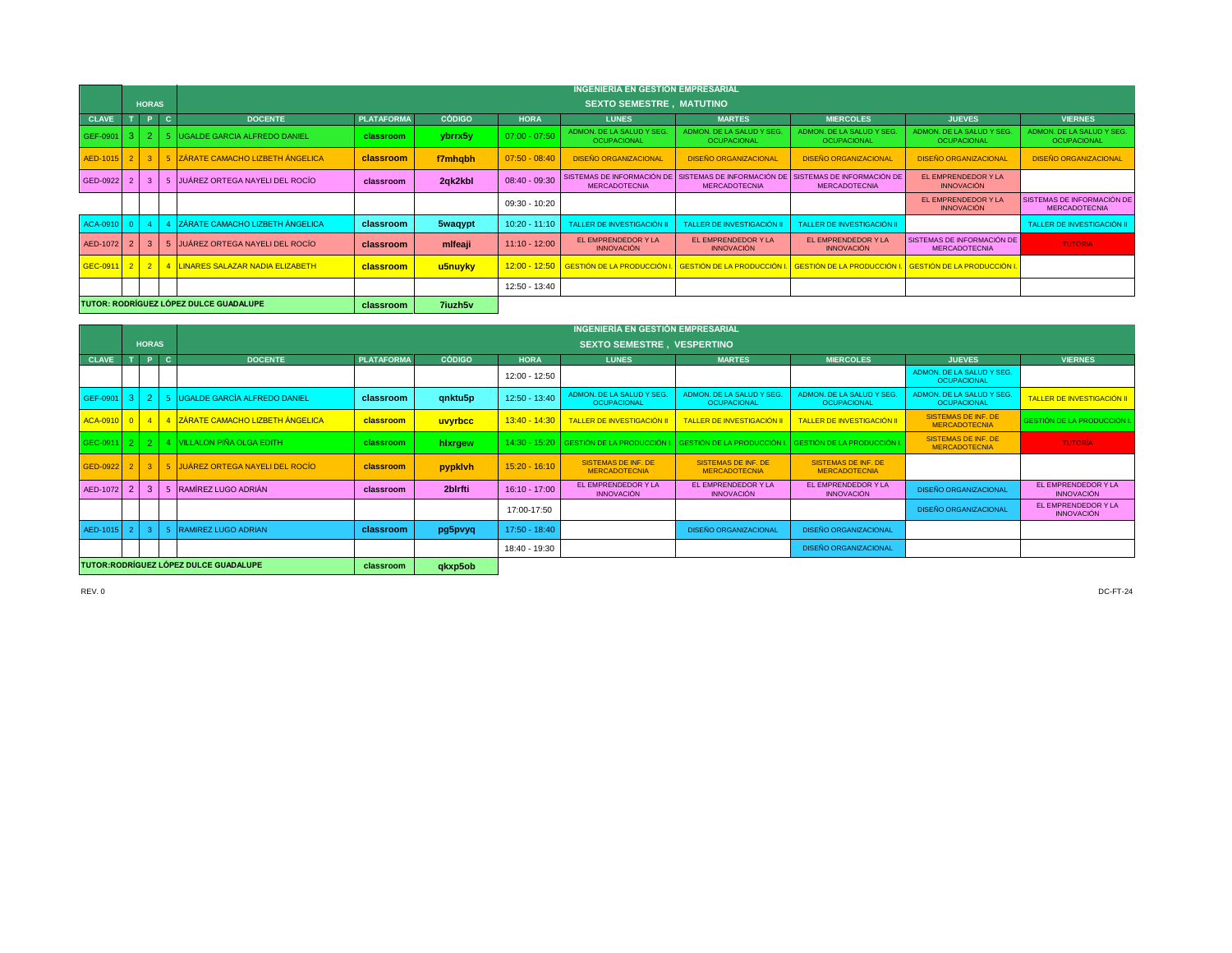|              |                                               |                 |              |                                        |                   |                |                 | <b>INGENIERIA EN GESTION EMPRESARIAL</b>                                                                                     |                                                 |                                                                                                          |                                                    |                                                    |
|--------------|-----------------------------------------------|-----------------|--------------|----------------------------------------|-------------------|----------------|-----------------|------------------------------------------------------------------------------------------------------------------------------|-------------------------------------------------|----------------------------------------------------------------------------------------------------------|----------------------------------------------------|----------------------------------------------------|
|              |                                               | <b>HORAS</b>    |              |                                        |                   |                |                 | <b>SEXTO SEMESTRE, MATUTINO</b>                                                                                              |                                                 |                                                                                                          |                                                    |                                                    |
| <b>CLAVE</b> |                                               | - 0             | $\mathbf{C}$ | <b>DOCENTE</b>                         | <b>PLATAFORMA</b> | <b>CÓDIGO</b>  | <b>HORA</b>     | <b>LUNES</b>                                                                                                                 | <b>MARTES</b>                                   | <b>MIERCOLES</b>                                                                                         | <b>JUEVES</b>                                      | <b>VIERNES</b>                                     |
| GEF-0901 3 2 |                                               |                 |              | <b>IUGALDE GARCIA ALFREDO DANIEL</b>   | classroom         | ybrrx5y        | $07:00 - 07:50$ | ADMON. DE LA SALUD Y SEG.<br><b>OCUPACIONAL</b>                                                                              | ADMON, DE LA SALUD Y SEG.<br><b>OCUPACIONAL</b> | ADMON, DE LA SALUD Y SEG.<br><b>OCUPACIONAL</b>                                                          | ADMON, DE LA SALUD Y SEG.<br><b>OCUPACIONAL</b>    | ADMON. DE LA SALUD Y SEG.<br><b>OCUPACIONAL</b>    |
| AED-1015     |                                               | $2 \mid 3 \mid$ |              | 5 ZÁRATE CAMACHO LIZBETH ÁNGELICA      | classroom         | f7mhqbh        | $07:50 - 08:40$ | <b>DISEÑO ORGANIZACIONAL</b>                                                                                                 | <b>DISEÑO ORGANIZACIONAL</b>                    | <b>DISEÑO ORGANIZACIONAL</b>                                                                             | <b>DISEÑO ORGANIZACIONAL</b>                       | <b>DISEÑO ORGANIZACIONAL</b>                       |
| GED-0922     |                                               | 3               |              | JUÁREZ ORTEGA NAYELI DEL ROCÍO         | classroom         | 2qk2kbl        | $08:40 - 09:30$ | <b>MERCADOTECNIA</b>                                                                                                         | <b>MERCADOTECNIA</b>                            | SISTEMAS DE INFORMACIÓN DE SISTEMAS DE INFORMACIÓN DE SISTEMAS DE INFORMACIÓN DE<br><b>MERCADOTECNIA</b> | EL EMPRENDEDOR Y LA<br><b>INNOVACIÓN</b>           |                                                    |
|              |                                               |                 |              |                                        |                   |                | 09:30 - 10:20   |                                                                                                                              |                                                 |                                                                                                          | EL EMPRENDEDOR Y LA<br><b>INNOVACIÓN</b>           | SISTEMAS DE INFORMACIÓN DE<br><b>MERCADOTECNIA</b> |
| ACA-0910     |                                               |                 |              | <b>ZÁRATE CAMACHO LIZBETH ÁNGELICA</b> | classroom         | 5waqypt        | $10:20 - 11:10$ | TALLER DE INVESTIGACIÓN II                                                                                                   | TALLER DE INVESTIGACIÓN II                      | TALLER DE INVESTIGACIÓN II                                                                               |                                                    | TALLER DE INVESTIGACIÓN II                         |
| AED-1072     |                                               | $\mathbf{R}$    |              | 5 JUÁREZ ORTEGA NAYELI DEL ROCÍO       | classroom         | mifeaji        | $11:10 - 12:00$ | EL EMPRENDEDOR Y LA<br><b>INNOVACIÓN</b>                                                                                     | EL EMPRENDEDOR Y LA<br><b>INNOVACIÓN</b>        | EL EMPRENDEDOR Y LA<br><b>INNOVACIÓN</b>                                                                 | SISTEMAS DE INFORMACIÓN DE<br><b>MERCADOTECNIA</b> | <b>TUTORIA</b>                                     |
| GEC-0911     |                                               |                 |              | 2 2 4 LINARES SALAZAR NADIA ELIZABETH  | classroom         | u5nuyky        |                 | 12:00 - 12:50 GESTIÓN DE LA PRODUCCIÓN I. GESTIÓN DE LA PRODUCCIÓN I. GESTIÓN DE LA PRODUCCIÓN I. GESTIÓN DE LA PRODUCCIÓN I |                                                 |                                                                                                          |                                                    |                                                    |
|              |                                               |                 |              |                                        |                   |                | 12:50 - 13:40   |                                                                                                                              |                                                 |                                                                                                          |                                                    |                                                    |
|              | <b>TUTOR: RODRÍGUEZ LÓPEZ DULCE GUADALUPE</b> |                 |              |                                        | classroom         | <b>7iuzh5v</b> |                 |                                                                                                                              |                                                 |                                                                                                          |                                                    |                                                    |

|                                        |  |              |    |                                                     |            |               |                                   | INGENIERÍA EN GESTIÓN EMPRESARIAL                  |                                                    |                                                    |                                                    |                                          |  |  |
|----------------------------------------|--|--------------|----|-----------------------------------------------------|------------|---------------|-----------------------------------|----------------------------------------------------|----------------------------------------------------|----------------------------------------------------|----------------------------------------------------|------------------------------------------|--|--|
|                                        |  | <b>HORAS</b> |    |                                                     |            |               | <b>SEXTO SEMESTRE. VESPERTINO</b> |                                                    |                                                    |                                                    |                                                    |                                          |  |  |
| <b>CLAVE</b>                           |  | P            | C. | <b>DOCENTE</b>                                      | PLATAFORMA | <b>CÓDIGO</b> | <b>HORA</b>                       | <b>LUNES</b>                                       | <b>MARTES</b>                                      | <b>MIERCOLES</b>                                   | <b>JUEVES</b>                                      | <b>VIERNES</b>                           |  |  |
|                                        |  |              |    |                                                     |            |               | 12:00 - 12:50                     |                                                    |                                                    |                                                    | ADMON, DE LA SALUD Y SEG.<br>OCUPACIONAL           |                                          |  |  |
| GEF-0901 3                             |  |              |    | UGALDE GARCÍA ALFREDO DANIEL                        | classroom  | qnktu5p       | $12:50 - 13:40$                   | ADMON, DE LA SALUD Y SEG.<br><b>OCUPACIONAL</b>    | ADMON, DE LA SALUD Y SEG.<br>OCUPACIONAL           | ADMON, DE LA SALUD Y SEG.<br><b>OCUPACIONAL</b>    | ADMON, DE LA SALUD Y SEG.<br>OCUPACIONAL           | <b>TALLER DE INVESTIGACIÓN II</b>        |  |  |
| ACA-0910 0 4                           |  |              |    | 4 ZÁRATE CAMACHO LIZBETH ÁNGELICA                   | classroom  | uvyrbcc       | $13:40 - 14:30$                   | <b>TALLER DE INVESTIGACIÓN II</b>                  | <b>TALLER DE INVESTIGACIÓN II</b>                  | <b>TALLER DE INVESTIGACIÓN II</b>                  | <b>SISTEMAS DE INF. DE</b><br><b>MERCADOTECNIA</b> | <b>GESTIÓN DE LA PRODUCCIÓN I.</b>       |  |  |
| GEC-0911 2 2                           |  |              |    | 4 VILLALON PIÑA OLGA EDITH                          | classroom  | hixrgew       |                                   | 14:30 - 15:20 GESTIÓN DE LA PRODUCCIÓN I           | <b>GESTIÓN DE LA PRODUCCIÓN I.</b>                 | <b>GESTIÓN DE LA PRODUCCIÓN I</b>                  | <b>SISTEMAS DE INF. DE</b><br><b>MERCADOTECNIA</b> | <b>TUTORÍA</b>                           |  |  |
|                                        |  |              |    | GED-0922   2   3   5 JUÁREZ ORTEGA NAYELI DEL ROCÍO | classroom  | pypklvh       | $15:20 - 16:10$                   | <b>SISTEMAS DE INF. DE</b><br><b>MERCADOTECNIA</b> | <b>SISTEMAS DE INF. DE</b><br><b>MERCADOTECNIA</b> | <b>SISTEMAS DE INF. DE</b><br><b>MERCADOTECNIA</b> |                                                    |                                          |  |  |
| AED-1072                               |  | 3            |    | RAMÍREZ LUGO ADRIÁN                                 | classroom  | 2blrfti       | $16:10 - 17:00$                   | EL EMPRENDEDOR Y LA<br><b>INNOVACIÓN</b>           | EL EMPRENDEDOR Y LA<br><b>INNOVACIÓN</b>           | EL EMPRENDEDOR Y LA<br><b>INNOVACIÓN</b>           | <b>DISEÑO ORGANIZACIONAL</b>                       | EL EMPRENDEDOR Y LA<br><b>INNOVACIÓN</b> |  |  |
|                                        |  |              |    |                                                     |            |               | 17:00-17:50                       |                                                    |                                                    |                                                    | <b>DISEÑO ORGANIZACIONAL</b>                       | EL EMPRENDEDOR Y LA<br><b>INNOVACIÓN</b> |  |  |
| AED-1015 2                             |  |              |    | <b>RAMIREZ LUGO ADRIAN</b>                          | classroom  | pg5pvyq       | 17:50 - 18:40                     |                                                    | <b>DISEÑO ORGANIZACIONAL</b>                       | <b>DISEÑO ORGANIZACIONAL</b>                       |                                                    |                                          |  |  |
|                                        |  |              |    |                                                     |            |               | 18:40 - 19:30                     |                                                    |                                                    | <b>DISEÑO ORGANIZACIONAL</b>                       |                                                    |                                          |  |  |
| TUTOR: RODRÍGUEZ LÓPEZ DULCE GUADALUPE |  |              |    | classroom                                           | qkxp5ob    |               |                                   |                                                    |                                                    |                                                    |                                                    |                                          |  |  |

REV. 0 DC-FT-24